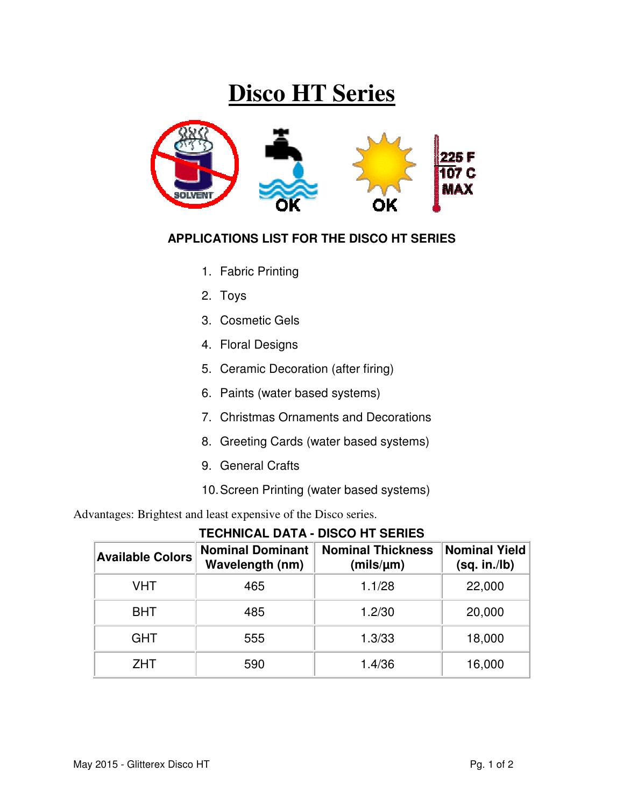## **Disco HT Series**



## **APPLICATIONS LIST FOR THE DISCO HT SERIES**

- 1. Fabric Printing
- 2. Toys
- 3. Cosmetic Gels
- 4. Floral Designs
- 5. Ceramic Decoration (after firing)
- 6. Paints (water based systems)
- 7. Christmas Ornaments and Decorations
- 8. Greeting Cards (water based systems)
- 9. General Crafts
- 10. Screen Printing (water based systems)

Advantages: Brightest and least expensive of the Disco series.

**TECHNICAL DATA - DISCO HT SERIES**

| <b>Available Colors</b> | <b>Nominal Dominant</b><br>Wavelength (nm) | <b>Nominal Thickness</b><br>(mils/µm) | Nominal Yield<br>(sq. in./lb) |  |
|-------------------------|--------------------------------------------|---------------------------------------|-------------------------------|--|
| <b>VHT</b>              | 465                                        | 1.1/28                                | 22,000                        |  |
| <b>BHT</b>              | 485                                        | 1.2/30                                | 20,000                        |  |
| <b>GHT</b>              | 555                                        | 1.3/33                                | 18,000                        |  |
| <b>ZHT</b>              | 590                                        | 1.4/36                                | 16,000                        |  |